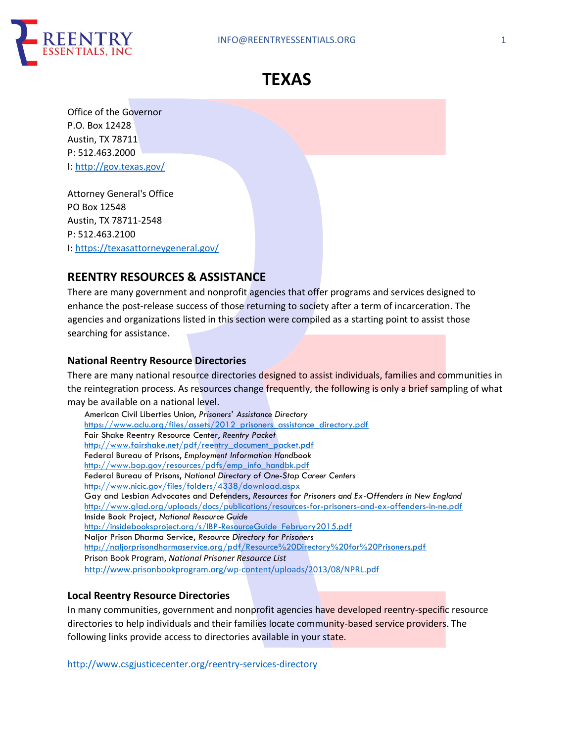



Office of the Governor P.O. Box 12428 Austin, TX 78711 P: 512.463.2000 I: http://gov.texas.gov/

Attorney General's Office PO Box 12548 Austin, TX 78711-2548 P: 512.463.2100 I: https://texasattorneygeneral.gov/

# **REENTRY RESOURCES & ASSISTANCE**

There are many government and nonprofit agencies that offer programs and services designed to enhance the post-release success of those returning to society after a term of incarceration. The agencies and organizations listed in this section were compiled as a starting point to assist those searching for assistance.

### **National Reentry Resource Directories**

There are many national resource directories designed to assist individuals, families and communities in the reintegration process. As resources change frequently, the following is only a brief sampling of what may be available on a national level.

| American Civil Liberties Union, Prisoners' Assistance Directory                                  |
|--------------------------------------------------------------------------------------------------|
| https://www.aclu.org/files/assets/2012 prisoners assistance directory.pdf                        |
| Fair Shake Reentry Resource Center, Reentry Packet                                               |
| http://www.fairshake.net/pdf/reentry document packet.pdf                                         |
| Federal Bureau of Prisons, Employment Information Handbook                                       |
| http://www.bop.gov/resources/pdfs/emp info handbk.pdf                                            |
| Federal Bureau of Prisons, National Directory of One-Stop Career Centers                         |
| http://www.nicic.gov/files/folders/4338/download.aspx                                            |
| Gay and Lesbian Advocates and Defenders, Resources for Prisoners and Ex-Offenders in New England |
| http://www.glad.org/uploads/docs/publications/resources-for-prisoners-and-ex-offenders-in-ne.pdf |
| Inside Book Project, National Resource Guide                                                     |
| http://insidebooksproject.org/s/IBP-ResourceGuide February2015.pdf                               |
| Naljor Prison Dharma Service, Resource Directory for Prisoners                                   |
| http://naljorprisondharmaservice.org/pdf/Resource%20Directory%20for%20Prisoners.pdf              |
| Prison Book Program, National Prisoner Resource List                                             |
| http://www.prisonbookprogram.org/wp-content/uploads/2013/08/NPRL.pdf                             |

### **Local Reentry Resource Directories**

In many communities, government and nonprofit agencies have developed reentry-specific resource directories to help individuals and their families locate community-based service providers. The following links provide access to directories available in your state.

http://www.csgjusticecenter.org/reentry-services-directory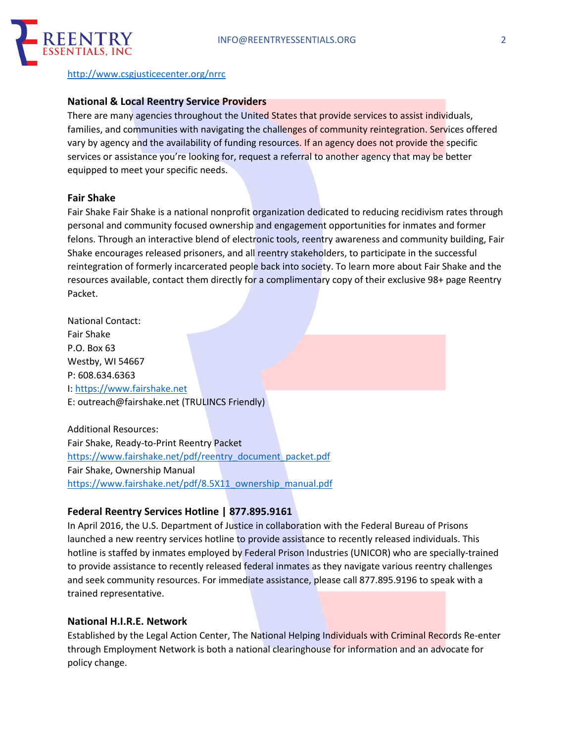

#### http://www.csgjusticecenter.org/nrrc

#### **National & Local Reentry Service Providers**

There are many agencies throughout the United States that provide services to assist individuals, families, and communities with navigating the challenges of community reintegration. Services offered vary by agency and the availability of funding resources. If an agency does not provide the specific services or assistance you're looking for, request a referral to another agency that may be better equipped to meet your specific needs.

#### **Fair Shake**

Fair Shake Fair Shake is a national nonprofit organization dedicated to reducing recidivism rates through personal and community focused ownership and engagement opportunities for inmates and former felons. Through an interactive blend of electronic tools, reentry awareness and community building, Fair Shake encourages released prisoners, and all reentry stakeholders, to participate in the successful reintegration of formerly incarcerated people back into society. To learn more about Fair Shake and the resources available, contact them directly for a complimentary copy of their exclusive 98+ page Reentry Packet.

National Contact: Fair Shake P.O. Box 63 Westby, WI 54667 P: 608.634.6363 I: https://www.fairshake.net E: outreach@fairshake.net (TRULINCS Friendly)

Additional Resources: Fair Shake, Ready-to-Print Reentry Packet https://www.fairshake.net/pdf/reentry\_document\_packet.pdf Fair Shake, Ownership Manual https://www.fairshake.net/pdf/8.5X11\_ownership\_manual.pdf

#### **Federal Reentry Services Hotline | 877.895.9161**

In April 2016, the U.S. Department of Justice in collaboration with the Federal Bureau of Prisons launched a new reentry services hotline to provide assistance to recently released individuals. This hotline is staffed by inmates employed by Federal Prison Industries (UNICOR) who are specially-trained to provide assistance to recently released federal inmates as they navigate various reentry challenges and seek community resources. For immediate assistance, please call 877.895.9196 to speak with a trained representative.

#### **National H.I.R.E. Network**

Established by the Legal Action Center, The National Helping Individuals with Criminal Records Re-enter through Employment Network is both a national clearinghouse for information and an advocate for policy change.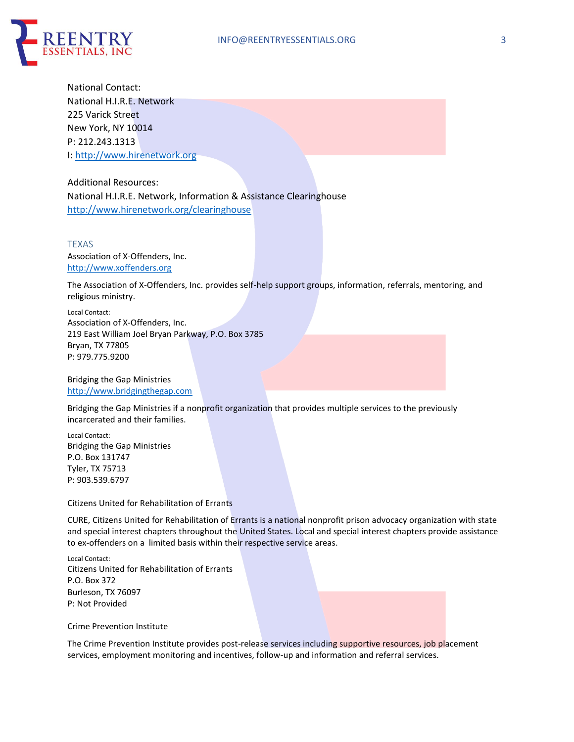

National Contact: National H.I.R.E. Network 225 Varick Street New York, NY 10014 P: 212.243.1313 I: http://www.hirenetwork.org

Additional Resources: National H.I.R.E. Network, Information & Assistance Clearinghouse http://www.hirenetwork.org/clearinghouse

TEXAS Association of X-Offenders, Inc. http://www.xoffenders.org

The Association of X-Offenders, Inc. provides self-help support groups, information, referrals, mentoring, and religious ministry.

Local Contact: Association of X-Offenders, Inc. 219 East William Joel Bryan Parkway, P.O. Box 3785 Bryan, TX 77805 P: 979.775.9200

Bridging the Gap Ministries http://www.bridgingthegap.com

Bridging the Gap Ministries if a nonprofit organization that provides multiple services to the previously incarcerated and their families.

Local Contact: Bridging the Gap Ministries P.O. Box 131747 Tyler, TX 75713 P: 903.539.6797

Citizens United for Rehabilitation of Errants

CURE, Citizens United for Rehabilitation of Errants is a national nonprofit prison advocacy organization with state and special interest chapters throughout the United States. Local and special interest chapters provide assistance to ex-offenders on a limited basis within their respective service areas.

Local Contact: Citizens United for Rehabilitation of Errants P.O. Box 372 Burleson, TX 76097 P: Not Provided

Crime Prevention Institute

The Crime Prevention Institute provides post-release services including supportive resources, job placement services, employment monitoring and incentives, follow-up and information and referral services.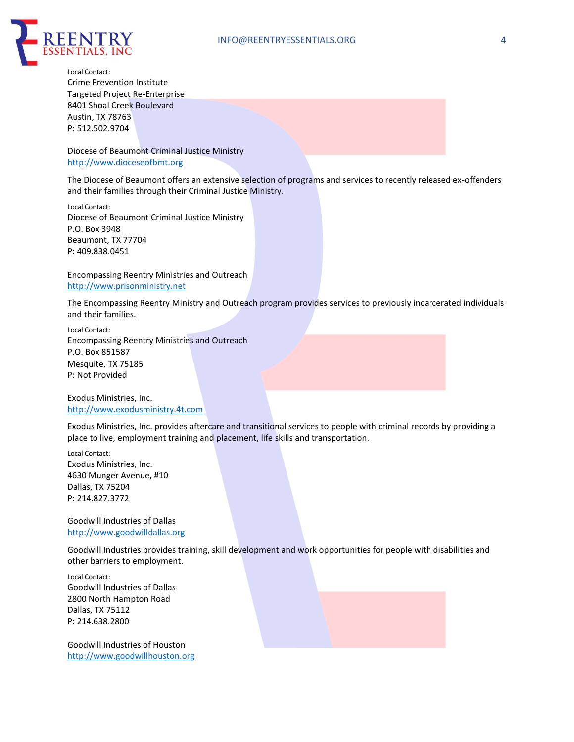

Local Contact: Crime Prevention Institute Targeted Project Re-Enterprise 8401 Shoal Creek Boulevard Austin, TX 78763 P: 512.502.9704

Diocese of Beaumont Criminal Justice Ministry http://www.dioceseofbmt.org

The Diocese of Beaumont offers an extensive selection of programs and services to recently released ex-offenders and their families through their Criminal Justice Ministry.

Local Contact: Diocese of Beaumont Criminal Justice Ministry P.O. Box 3948 Beaumont, TX 77704 P: 409.838.0451

Encompassing Reentry Ministries and Outreach http://www.prisonministry.net

The Encompassing Reentry Ministry and Outreach program provides services to previously incarcerated individuals and their families.

Local Contact: Encompassing Reentry Ministries and Outreach P.O. Box 851587 Mesquite, TX 75185 P: Not Provided

Exodus Ministries, Inc. http://www.exodusministry.4t.com

Exodus Ministries, Inc. provides aftercare and transitional services to people with criminal records by providing a place to live, employment training and placement, life skills and transportation.

Local Contact: Exodus Ministries, Inc. 4630 Munger Avenue, #10 Dallas, TX 75204 P: 214.827.3772

Goodwill Industries of Dallas http://www.goodwilldallas.org

Goodwill Industries provides training, skill development and work opportunities for people with disabilities and other barriers to employment.

Local Contact: Goodwill Industries of Dallas 2800 North Hampton Road Dallas, TX 75112 P: 214.638.2800

Goodwill Industries of Houston http://www.goodwillhouston.org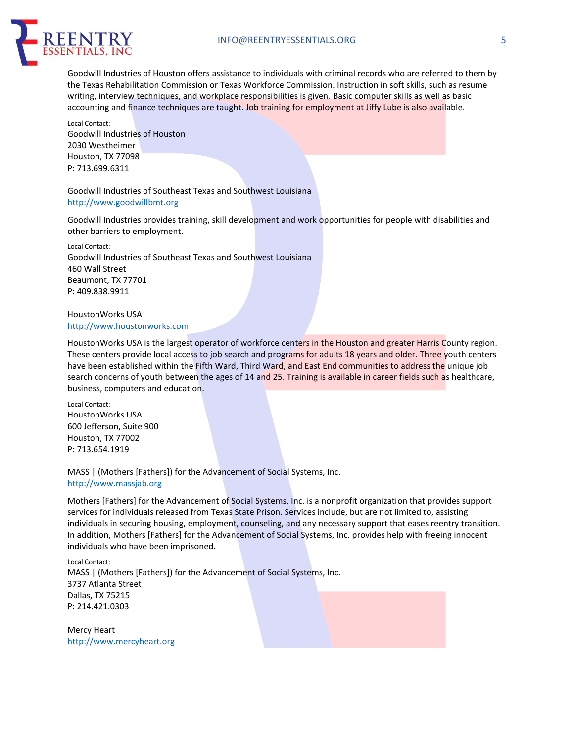

Goodwill Industries of Houston offers assistance to individuals with criminal records who are referred to them by the Texas Rehabilitation Commission or Texas Workforce Commission. Instruction in soft skills, such as resume writing, interview techniques, and workplace responsibilities is given. Basic computer skills as well as basic accounting and finance techniques are taught. Job training for employment at Jiffy Lube is also available.

Local Contact: Goodwill Industries of Houston 2030 Westheimer Houston, TX 77098 P: 713.699.6311

#### Goodwill Industries of Southeast Texas and Southwest Louisiana http://www.goodwillbmt.org

Goodwill Industries provides training, skill development and work opportunities for people with disabilities and other barriers to employment.

Local Contact: Goodwill Industries of Southeast Texas and Southwest Louisiana 460 Wall Street Beaumont, TX 77701 P: 409.838.9911

#### HoustonWorks USA http://www.houstonworks.com

HoustonWorks USA is the largest operator of workforce centers in the Houston and greater Harris County region. These centers provide local access to job search and programs for adults 18 years and older. Three youth centers have been established within the Fifth Ward, Third Ward, and East End communities to address the unique job search concerns of youth between the ages of 14 and 25. Training is available in career fields such as healthcare, business, computers and education.

Local Contact: HoustonWorks USA 600 Jefferson, Suite 900 Houston, TX 77002 P: 713.654.1919

MASS | (Mothers [Fathers]) for the Advancement of Social Systems, Inc. http://www.massjab.org

Mothers [Fathers] for the Advancement of Social Systems, Inc. is a nonprofit organization that provides support services for individuals released from Texas State Prison. Services include, but are not limited to, assisting individuals in securing housing, employment, counseling, and any necessary support that eases reentry transition. In addition, Mothers [Fathers] for the Advancement of Social Systems, Inc. provides help with freeing innocent individuals who have been imprisoned.

Local Contact: MASS | (Mothers [Fathers]) for the Advancement of Social Systems, Inc. 3737 Atlanta Street Dallas, TX 75215 P: 214.421.0303

Mercy Heart http://www.mercyheart.org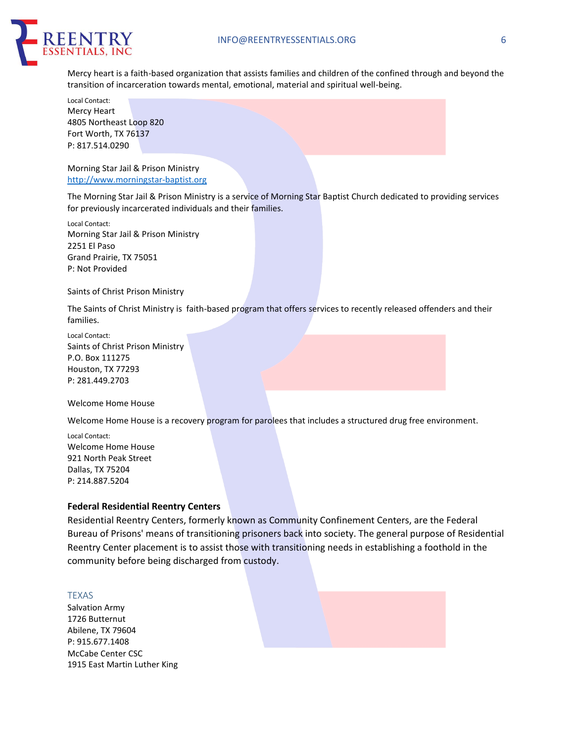

Mercy heart is a faith-based organization that assists families and children of the confined through and beyond the transition of incarceration towards mental, emotional, material and spiritual well-being.

Local Contact: Mercy Heart 4805 Northeast Loop 820 Fort Worth, TX 76137 P: 817.514.0290

Morning Star Jail & Prison Ministry http://www.morningstar-baptist.org

The Morning Star Jail & Prison Ministry is a service of Morning Star Baptist Church dedicated to providing services for previously incarcerated individuals and their families.

Local Contact: Morning Star Jail & Prison Ministry 2251 El Paso Grand Prairie, TX 75051 P: Not Provided

Saints of Christ Prison Ministry

The Saints of Christ Ministry is faith-based program that offers services to recently released offenders and their families.

Local Contact: Saints of Christ Prison Ministry P.O. Box 111275 Houston, TX 77293 P: 281.449.2703

Welcome Home House

Welcome Home House is a recovery program for parolees that includes a structured drug free environment.

Local Contact: Welcome Home House 921 North Peak Street Dallas, TX 75204 P: 214.887.5204

#### **Federal Residential Reentry Centers**

Residential Reentry Centers, formerly known as Community Confinement Centers, are the Federal Bureau of Prisons' means of transitioning prisoners back into society. The general purpose of Residential Reentry Center placement is to assist those with transitioning needs in establishing a foothold in the community before being discharged from custody.

#### TEXAS

Salvation Army 1726 Butternut Abilene, TX 79604 P: 915.677.1408 McCabe Center CSC 1915 East Martin Luther King

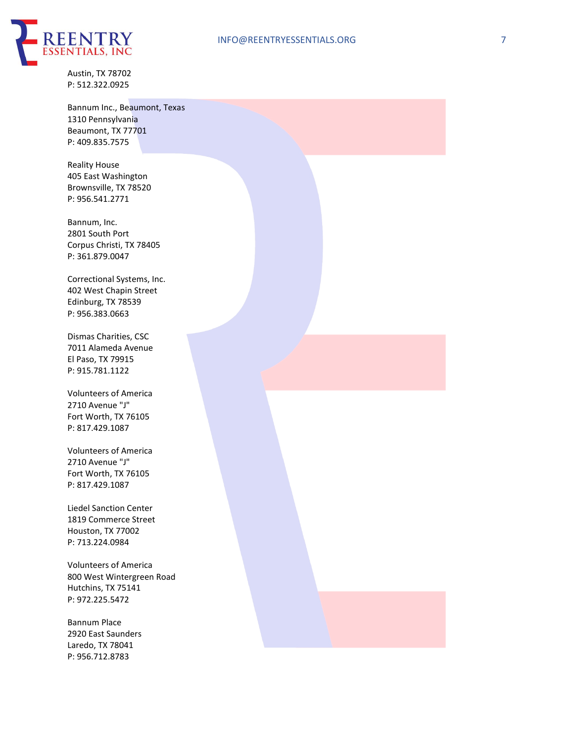

Austin, TX 78702 P: 512.322.0925

Bannum Inc., Beaumont, Texas 1310 Pennsylvania Beaumont, TX 77701 P: 409.835.7575

Reality House 405 East Washington Brownsville, TX 78520 P: 956.541.2771

Bannum, Inc. 2801 South Port Corpus Christi, TX 78405 P: 361.879.0047

Correctional Systems, Inc. 402 West Chapin Street Edinburg, TX 78539 P: 956.383.0663

Dismas Charities, CSC 7011 Alameda Avenue El Paso, TX 79915 P: 915.781.1122

Volunteers of America 2710 Avenue "J" Fort Worth, TX 76105 P: 817.429.1087

Volunteers of America 2710 Avenue "J" Fort Worth, TX 76105 P: 817.429.1087

Liedel Sanction Center 1819 Commerce Street Houston, TX 77002 P: 713.224.0984

Volunteers of America 800 West Wintergreen Road Hutchins, TX 75141 P: 972.225.5472

Bannum Place 2920 East Saunders Laredo, TX 78041 P: 956.712.8783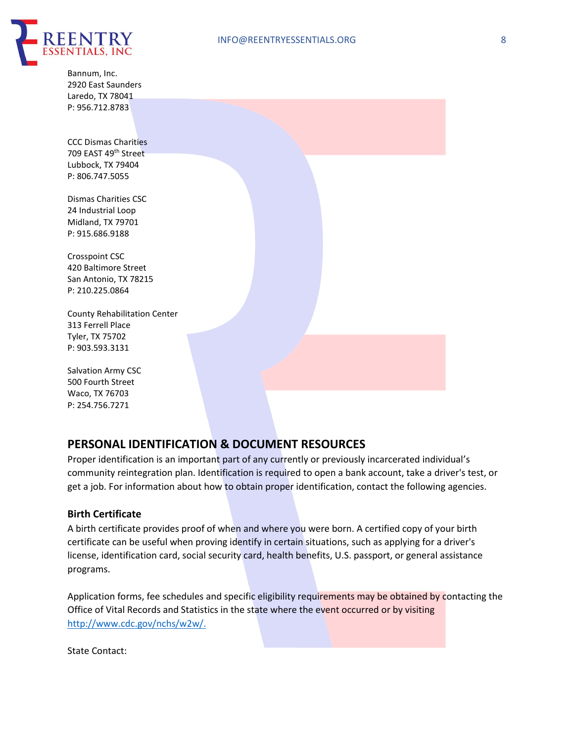

Bannum, Inc. 2920 East Saunders Laredo, TX 78041 P: 956.712.8783

CCC Dismas Charities 709 EAST 49th Street Lubbock, TX 79404 P: 806.747.5055

Dismas Charities CSC 24 Industrial Loop Midland, TX 79701 P: 915.686.9188

Crosspoint CSC 420 Baltimore Street San Antonio, TX 78215 P: 210.225.0864

County Rehabilitation Center 313 Ferrell Place Tyler, TX 75702 P: 903.593.3131

Salvation Army CSC 500 Fourth Street Waco, TX 76703 P: 254.756.7271

## **PERSONAL IDENTIFICATION & DOCUMENT RESOURCES**

Proper identification is an important part of any currently or previously incarcerated individual's community reintegration plan. Identification is required to open a bank account, take a driver's test, or get a job. For information about how to obtain proper identification, contact the following agencies.

#### **Birth Certificate**

A birth certificate provides proof of when and where you were born. A certified copy of your birth certificate can be useful when proving identify in certain situations, such as applying for a driver's license, identification card, social security card, health benefits, U.S. passport, or general assistance programs.

Application forms, fee schedules and specific eligibility requirements may be obtained by contacting the Office of Vital Records and Statistics in the state where the event occurred or by visiting http://www.cdc.gov/nchs/w2w/.

State Contact: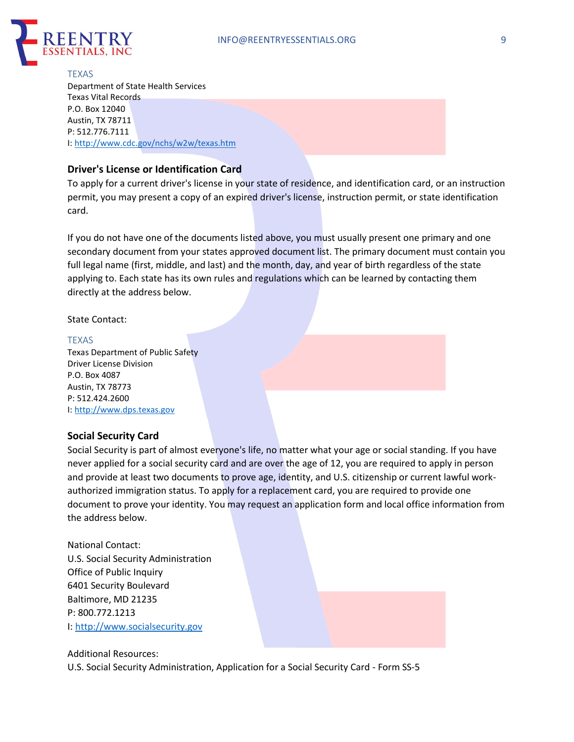

**TEXAS** Department of State Health Services Texas Vital Records P.O. Box 12040 Austin, TX 78711 P: 512.776.7111 I: http://www.cdc.gov/nchs/w2w/texas.htm

### **Driver's License or Identification Card**

To apply for a current driver's license in your state of residence, and identification card, or an instruction permit, you may present a copy of an expired driver's license, instruction permit, or state identification card.

If you do not have one of the documents listed above, you must usually present one primary and one secondary document from your states approved document list. The primary document must contain you full legal name (first, middle, and last) and the month, day, and year of birth regardless of the state applying to. Each state has its own rules and regulations which can be learned by contacting them directly at the address below.

State Contact:

#### TEXAS

Texas Department of Public Safety Driver License Division P.O. Box 4087 Austin, TX 78773 P: 512.424.2600 I: http://www.dps.texas.gov

### **Social Security Card**

Social Security is part of almost everyone's life, no matter what your age or social standing. If you have never applied for a social security card and are over the age of 12, you are required to apply in person and provide at least two documents to prove age, identity, and U.S. citizenship or current lawful workauthorized immigration status. To apply for a replacement card, you are required to provide one document to prove your identity. You may request an application form and local office information from the address below.

National Contact: U.S. Social Security Administration Office of Public Inquiry 6401 Security Boulevard Baltimore, MD 21235 P: 800.772.1213 I: http://www.socialsecurity.gov



U.S. Social Security Administration, Application for a Social Security Card - Form SS-5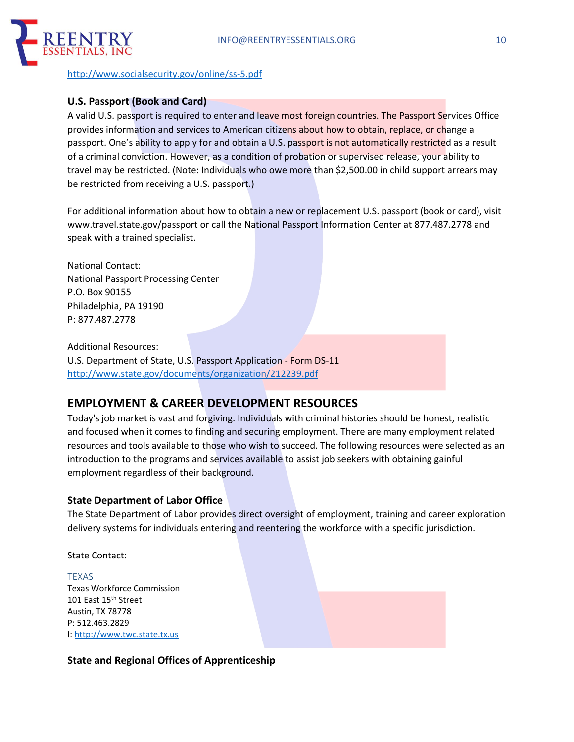

http://www.socialsecurity.gov/online/ss-5.pdf

### **U.S. Passport (Book and Card)**

A valid U.S. passport is required to enter and leave most foreign countries. The Passport Services Office provides information and services to American citizens about how to obtain, replace, or change a passport. One's ability to apply for and obtain a U.S. passport is not automatically restricted as a result of a criminal conviction. However, as a condition of probation or supervised release, your ability to travel may be restricted. (Note: Individuals who owe more than \$2,500.00 in child support arrears may be restricted from receiving a U.S. passport.)

For additional information about how to obtain a new or replacement U.S. passport (book or card), visit www.travel.state.gov/passport or call the National Passport Information Center at 877.487.2778 and speak with a trained specialist.

National Contact: National Passport Processing Center P.O. Box 90155 Philadelphia, PA 19190 P: 877.487.2778

Additional Resources: U.S. Department of State, U.S. Passport Application - Form DS-11 http://www.state.gov/documents/organization/212239.pdf

# **EMPLOYMENT & CAREER DEVELOPMENT RESOURCES**

Today's job market is vast and forgiving. Individuals with criminal histories should be honest, realistic and focused when it comes to finding and securing employment. There are many employment related resources and tools available to those who wish to succeed. The following resources were selected as an introduction to the programs and services available to assist job seekers with obtaining gainful employment regardless of their background.

### **State Department of Labor Office**

The State Department of Labor provides direct oversight of employment, training and career exploration delivery systems for individuals entering and reentering the workforce with a specific jurisdiction.

State Contact:

TEXAS Texas Workforce Commission 101 East 15<sup>th</sup> Street Austin, TX 78778 P: 512.463.2829 I: http://www.twc.state.tx.us

**State and Regional Offices of Apprenticeship**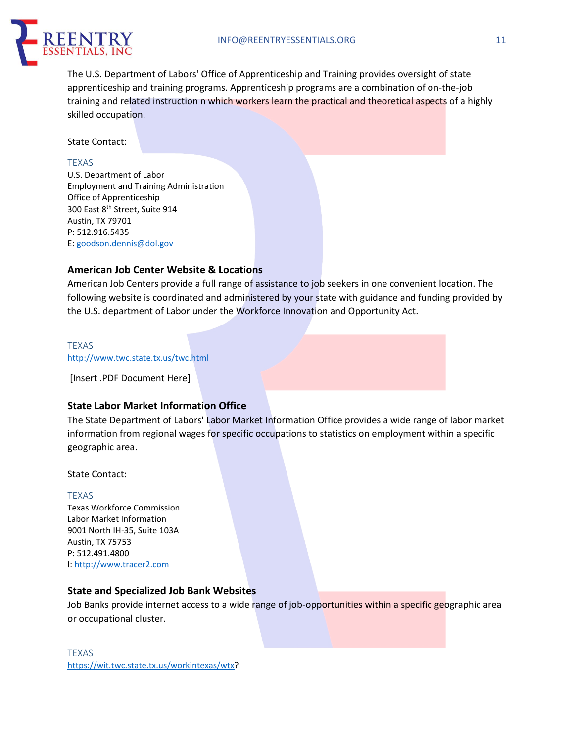

The U.S. Department of Labors' Office of Apprenticeship and Training provides oversight of state apprenticeship and training programs. Apprenticeship programs are a combination of on-the-job training and related instruction n which workers learn the practical and theoretical aspects of a highly skilled occupation.

State Contact:

#### TEXAS

U.S. Department of Labor Employment and Training Administration Office of Apprenticeship 300 East 8th Street, Suite 914 Austin, TX 79701 P: 512.916.5435 E: goodson.dennis@dol.gov

### **American Job Center Website & Locations**

American Job Centers provide a full range of assistance to job seekers in one convenient location. The following website is coordinated and administered by your state with guidance and funding provided by the U.S. department of Labor under the Workforce Innovation and Opportunity Act.

### TEXAS

http://www.twc.state.tx.us/twc.html

[Insert .PDF Document Here]

### **State Labor Market Information Office**

The State Department of Labors' Labor Market Information Office provides a wide range of labor market information from regional wages for specific occupations to statistics on employment within a specific geographic area.

State Contact:

#### TEXAS

Texas Workforce Commission Labor Market Information 9001 North IH-35, Suite 103A Austin, TX 75753 P: 512.491.4800 I: http://www.tracer2.com

### **State and Specialized Job Bank Websites**

Job Banks provide internet access to a wide range of job-opportunities within a specific geographic area or occupational cluster.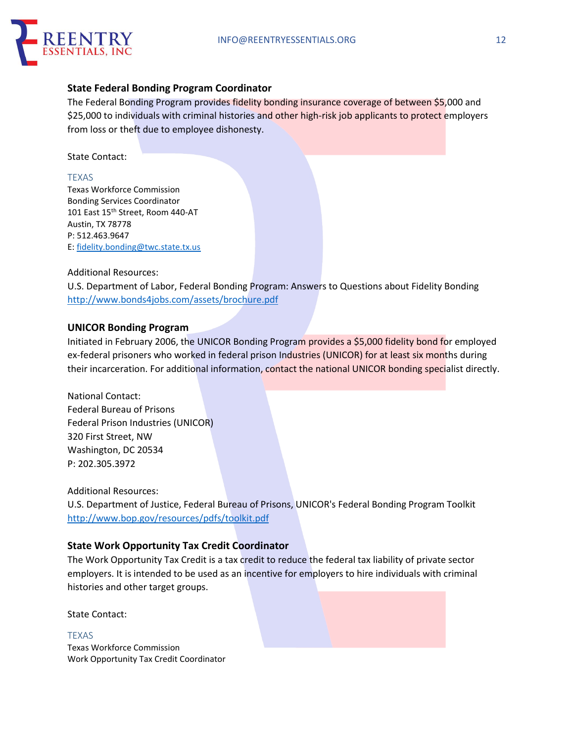

### **State Federal Bonding Program Coordinator**

The Federal Bonding Program provides fidelity bonding insurance coverage of between \$5,000 and \$25,000 to individuals with criminal histories and other high-risk job applicants to protect employers from loss or theft due to employee dishonesty.

State Contact:

#### TEXAS

Texas Workforce Commission Bonding Services Coordinator 101 East 15<sup>th</sup> Street, Room 440-AT Austin, TX 78778 P: 512.463.9647 E: fidelity.bonding@twc.state.tx.us

#### Additional Resources:

U.S. Department of Labor, Federal Bonding Program: Answers to Questions about Fidelity Bonding http://www.bonds4jobs.com/assets/brochure.pdf

### **UNICOR Bonding Program**

Initiated in February 2006, the UNICOR Bonding Program provides a \$5,000 fidelity bond for employed ex-federal prisoners who worked in federal prison Industries (UNICOR) for at least six months during their incarceration. For additional information, contact the national UNICOR bonding specialist directly.

National Contact: Federal Bureau of Prisons Federal Prison Industries (UNICOR) 320 First Street, NW Washington, DC 20534 P: 202.305.3972

Additional Resources:

U.S. Department of Justice, Federal Bureau of Prisons, UNICOR's Federal Bonding Program Toolkit http://www.bop.gov/resources/pdfs/toolkit.pdf

### **State Work Opportunity Tax Credit Coordinator**

The Work Opportunity Tax Credit is a tax credit to reduce the federal tax liability of private sector employers. It is intended to be used as an incentive for employers to hire individuals with criminal histories and other target groups.

State Contact:

TEXAS Texas Workforce Commission Work Opportunity Tax Credit Coordinator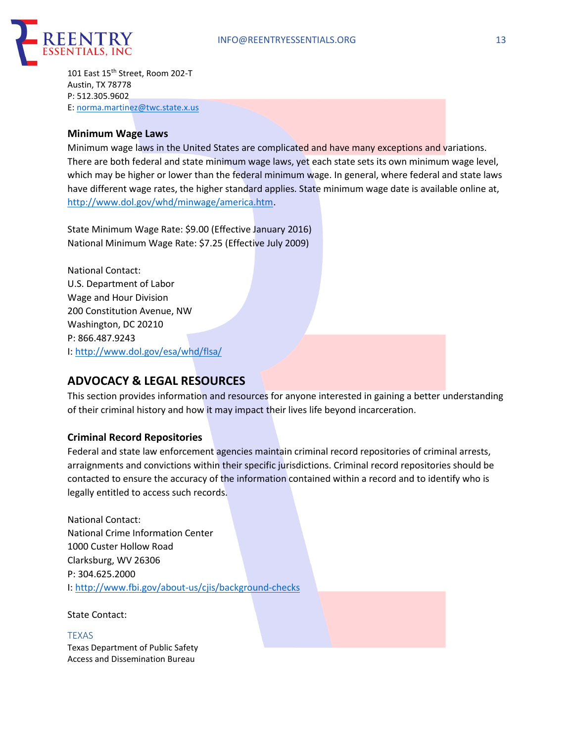

101 East 15<sup>th</sup> Street, Room 202-T Austin, TX 78778 P: 512.305.9602 E: norma.martinez@twc.state.x.us

#### **Minimum Wage Laws**

Minimum wage laws in the United States are complicated and have many exceptions and variations. There are both federal and state minimum wage laws, yet each state sets its own minimum wage level, which may be higher or lower than the federal minimum wage. In general, where federal and state laws have different wage rates, the higher standard applies. State minimum wage date is available online at, http://www.dol.gov/whd/minwage/america.htm.

State Minimum Wage Rate: \$9.00 (Effective January 2016) National Minimum Wage Rate: \$7.25 (Effective July 2009)

National Contact: U.S. Department of Labor Wage and Hour Division 200 Constitution Avenue, NW Washington, DC 20210 P: 866.487.9243 I: http://www.dol.gov/esa/whd/flsa/

# **ADVOCACY & LEGAL RESOURCES**

This section provides information and resources for anyone interested in gaining a better understanding of their criminal history and how it may impact their lives life beyond incarceration.

### **Criminal Record Repositories**

Federal and state law enforcement agencies maintain criminal record repositories of criminal arrests, arraignments and convictions within their specific jurisdictions. Criminal record repositories should be contacted to ensure the accuracy of the information contained within a record and to identify who is legally entitled to access such records.

National Contact: National Crime Information Center 1000 Custer Hollow Road Clarksburg, WV 26306 P: 304.625.2000 I: http://www.fbi.gov/about-us/cjis/background-checks

State Contact:

TEXAS Texas Department of Public Safety Access and Dissemination Bureau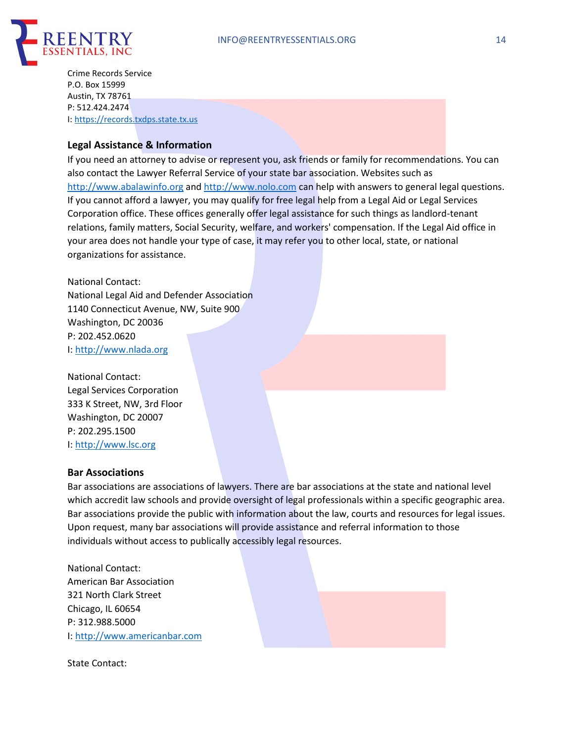

Crime Records Service P.O. Box 15999 Austin, TX 78761 P: 512.424.2474 I: https://records.txdps.state.tx.us

### **Legal Assistance & Information**

If you need an attorney to advise or represent you, ask friends or family for recommendations. You can also contact the Lawyer Referral Service of your state bar association. Websites such as http://www.abalawinfo.org and http://www.nolo.com can help with answers to general legal questions. If you cannot afford a lawyer, you may qualify for free legal help from a Legal Aid or Legal Services Corporation office. These offices generally offer legal assistance for such things as landlord-tenant relations, family matters, Social Security, welfare, and workers' compensation. If the Legal Aid office in your area does not handle your type of case, it may refer you to other local, state, or national organizations for assistance.

National Contact: National Legal Aid and Defender Association 1140 Connecticut Avenue, NW, Suite 900 Washington, DC 20036 P: 202.452.0620 I: http://www.nlada.org

National Contact: Legal Services Corporation 333 K Street, NW, 3rd Floor Washington, DC 20007 P: 202.295.1500 I: http://www.lsc.org

#### **Bar Associations**

Bar associations are associations of lawyers. There are bar associations at the state and national level which accredit law schools and provide oversight of legal professionals within a specific geographic area. Bar associations provide the public with information about the law, courts and resources for legal issues. Upon request, many bar associations will provide assistance and referral information to those individuals without access to publically accessibly legal resources.

National Contact: American Bar Association 321 North Clark Street Chicago, IL 60654 P: 312.988.5000 I: http://www.americanbar.com

State Contact: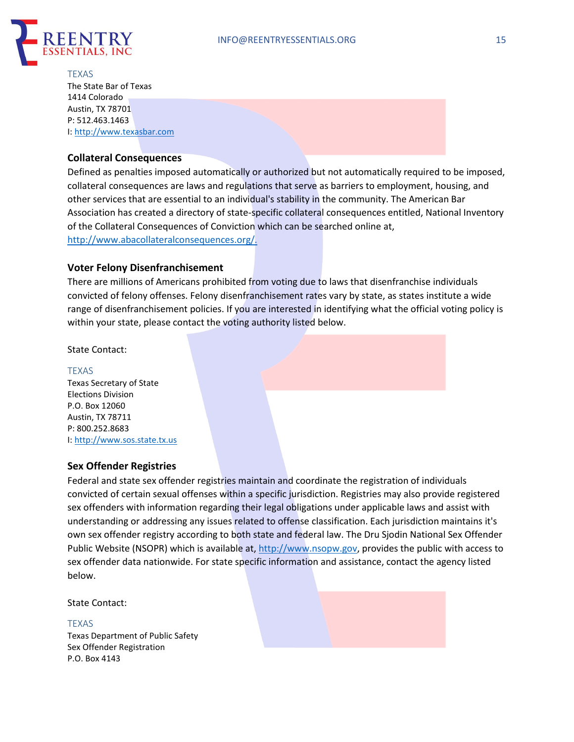

#### **TEXAS**

The State Bar of Texas 1414 Colorado Austin, TX 78701 P: 512.463.1463 I: http://www.texasbar.com

### **Collateral Consequences**

Defined as penalties imposed automatically or authorized but not automatically required to be imposed, collateral consequences are laws and regulations that serve as barriers to employment, housing, and other services that are essential to an individual's stability in the community. The American Bar Association has created a directory of state-specific collateral consequences entitled, National Inventory of the Collateral Consequences of Conviction which can be searched online at, http://www.abacollateralconsequences.org/.

### **Voter Felony Disenfranchisement**

There are millions of Americans prohibited from voting due to laws that disenfranchise individuals convicted of felony offenses. Felony disenfranchisement rates vary by state, as states institute a wide range of disenfranchisement policies. If you are interested in identifying what the official voting policy is within your state, please contact the voting authority listed below.

#### State Contact:

#### TEXAS

Texas Secretary of State Elections Division P.O. Box 12060 Austin, TX 78711 P: 800.252.8683 I: http://www.sos.state.tx.us

### **Sex Offender Registries**

Federal and state sex offender registries maintain and coordinate the registration of individuals convicted of certain sexual offenses within a specific jurisdiction. Registries may also provide registered sex offenders with information regarding their legal obligations under applicable laws and assist with understanding or addressing any issues related to offense classification. Each jurisdiction maintains it's own sex offender registry according to both state and federal law. The Dru Sjodin National Sex Offender Public Website (NSOPR) which is available at, http://www.nsopw.gov, provides the public with access to sex offender data nationwide. For state specific information and assistance, contact the agency listed below.

State Contact:

#### TEXAS Texas Department of Public Safety Sex Offender Registration P.O. Box 4143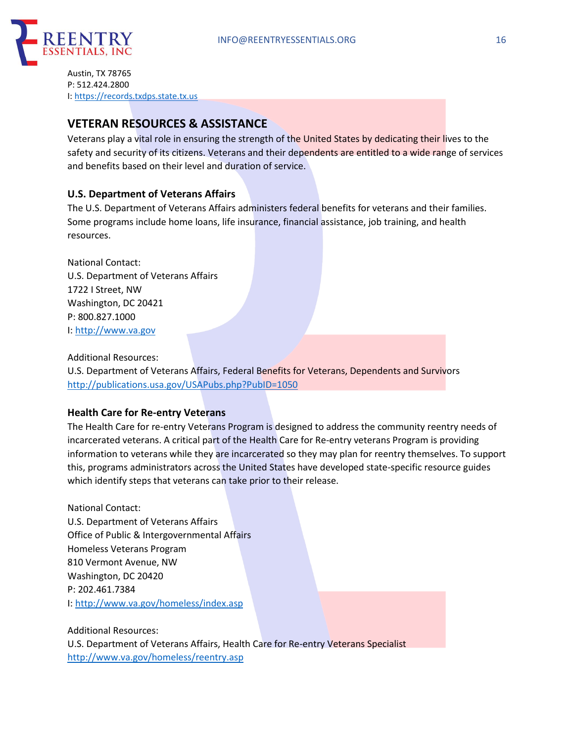

Austin, TX 78765 P: 512.424.2800 I: https://records.txdps.state.tx.us

# **VETERAN RESOURCES & ASSISTANCE**

Veterans play a vital role in ensuring the strength of the United States by dedicating their lives to the safety and security of its citizens. Veterans and their dependents are entitled to a wide range of services and benefits based on their level and duration of service.

### **U.S. Department of Veterans Affairs**

The U.S. Department of Veterans Affairs administers federal benefits for veterans and their families. Some programs include home loans, life insurance, financial assistance, job training, and health resources.

National Contact: U.S. Department of Veterans Affairs 1722 I Street, NW Washington, DC 20421 P: 800.827.1000 I: http://www.va.gov

### Additional Resources:

U.S. Department of Veterans Affairs, Federal Benefits for Veterans, Dependents and Survivors http://publications.usa.gov/USAPubs.php?PubID=1050

### **Health Care for Re-entry Veterans**

The Health Care for re-entry Veterans Program is designed to address the community reentry needs of incarcerated veterans. A critical part of the Health Care for Re-entry veterans Program is providing information to veterans while they are incarcerated so they may plan for reentry themselves. To support this, programs administrators across the United States have developed state-specific resource guides which identify steps that veterans can take prior to their release.

National Contact: U.S. Department of Veterans Affairs Office of Public & Intergovernmental Affairs Homeless Veterans Program 810 Vermont Avenue, NW Washington, DC 20420 P: 202.461.7384 I: http://www.va.gov/homeless/index.asp

Additional Resources: U.S. Department of Veterans Affairs, Health Care for Re-entry Veterans Specialist http://www.va.gov/homeless/reentry.asp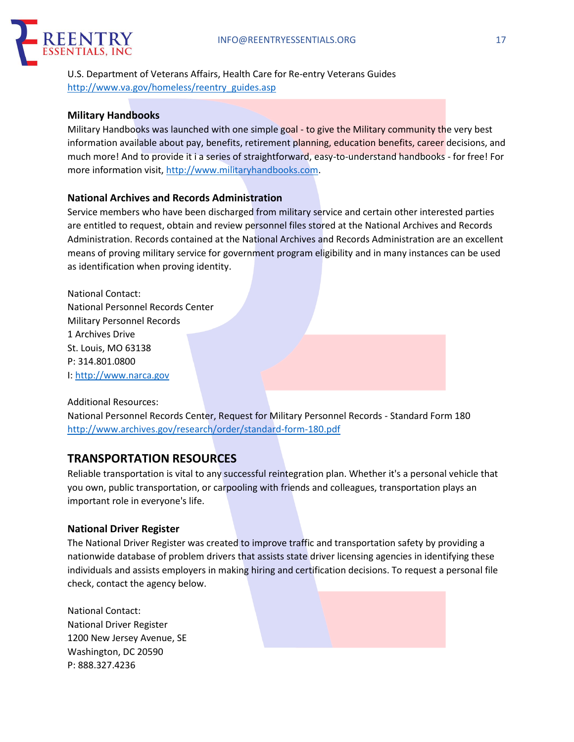

U.S. Department of Veterans Affairs, Health Care for Re-entry Veterans Guides http://www.va.gov/homeless/reentry\_guides.asp

#### **Military Handbooks**

Military Handbooks was launched with one simple goal - to give the Military community the very best information available about pay, benefits, retirement planning, education benefits, career decisions, and much more! And to provide it i a series of straightforward, easy-to-understand handbooks - for free! For more information visit, http://www.militaryhandbooks.com.

### **National Archives and Records Administration**

Service members who have been discharged from military service and certain other interested parties are entitled to request, obtain and review personnel files stored at the National Archives and Records Administration. Records contained at the National Archives and Records Administration are an excellent means of proving military service for government program eligibility and in many instances can be used as identification when proving identity.

National Contact: National Personnel Records Center Military Personnel Records 1 Archives Drive St. Louis, MO 63138 P: 314.801.0800 I: http://www.narca.gov

Additional Resources:

National Personnel Records Center, Request for Military Personnel Records - Standard Form 180 http://www.archives.gov/research/order/standard-form-180.pdf

## **TRANSPORTATION RESOURCES**

Reliable transportation is vital to any successful reintegration plan. Whether it's a personal vehicle that you own, public transportation, or carpooling with friends and colleagues, transportation plays an important role in everyone's life.

### **National Driver Register**

The National Driver Register was created to improve traffic and transportation safety by providing a nationwide database of problem drivers that assists state driver licensing agencies in identifying these individuals and assists employers in making hiring and certification decisions. To request a personal file check, contact the agency below.

National Contact: National Driver Register 1200 New Jersey Avenue, SE Washington, DC 20590 P: 888.327.4236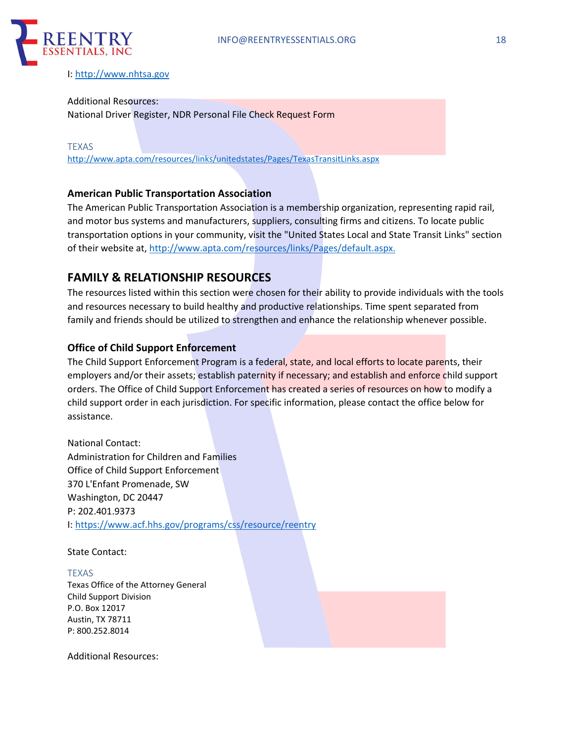

#### I: http://www.nhtsa.gov

#### Additional Resources: National Driver Register, NDR Personal File Check Request Form

TEXAS

http://www.apta.com/resources/links/unitedstates/Pages/TexasTransitLinks.aspx

### **American Public Transportation Association**

The American Public Transportation Association is a membership organization, representing rapid rail, and motor bus systems and manufacturers, suppliers, consulting firms and citizens. To locate public transportation options in your community, visit the "United States Local and State Transit Links" section of their website at, http://www.apta.com/resources/links/Pages/default.aspx.

## **FAMILY & RELATIONSHIP RESOURCES**

The resources listed within this section were chosen for their ability to provide individuals with the tools and resources necessary to build healthy and productive relationships. Time spent separated from family and friends should be utilized to strengthen and enhance the relationship whenever possible.

### **Office of Child Support Enforcement**

The Child Support Enforcement Program is a federal, state, and local efforts to locate parents, their employers and/or their assets; establish paternity if necessary; and establish and enforce child support orders. The Office of Child Support Enforcement has created a series of resources on how to modify a child support order in each jurisdiction. For specific information, please contact the office below for assistance.

National Contact: Administration for Children and Families Office of Child Support Enforcement 370 L'Enfant Promenade, SW Washington, DC 20447 P: 202.401.9373 I: https://www.acf.hhs.gov/programs/css/resource/reentry

State Contact:

TEXAS Texas Office of the Attorney General Child Support Division P.O. Box 12017 Austin, TX 78711 P: 800.252.8014

Additional Resources: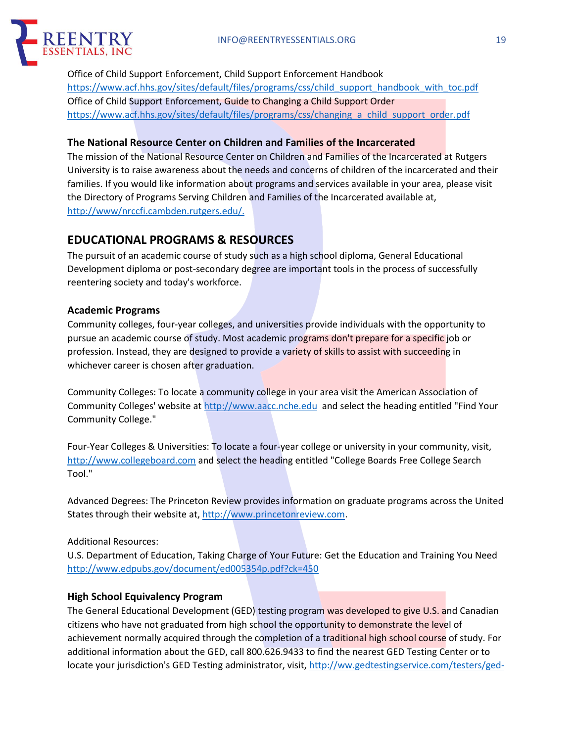

Office of Child Support Enforcement, Child Support Enforcement Handbook https://www.acf.hhs.gov/sites/default/files/programs/css/child\_support\_handbook\_with\_toc.pdf Office of Child Support Enforcement, Guide to Changing a Child Support Order https://www.acf.hhs.gov/sites/default/files/programs/css/changing\_a\_child\_support\_order.pdf

### **The National Resource Center on Children and Families of the Incarcerated**

The mission of the National Resource Center on Children and Families of the Incarcerated at Rutgers University is to raise awareness about the needs and concerns of children of the incarcerated and their families. If you would like information about programs and services available in your area, please visit the Directory of Programs Serving Children and Families of the Incarcerated available at, http://www/nrccfi.cambden.rutgers.edu/.

# **EDUCATIONAL PROGRAMS & RESOURCES**

The pursuit of an academic course of study such as a high school diploma, General Educational Development diploma or post-secondary degree are important tools in the process of successfully reentering society and today's workforce.

### **Academic Programs**

Community colleges, four-year colleges, and universities provide individuals with the opportunity to pursue an academic course of study. Most academic programs don't prepare for a specific job or profession. Instead, they are designed to provide a variety of skills to assist with succeeding in whichever career is chosen after graduation.

Community Colleges: To locate a community college in your area visit the American Association of Community Colleges' website at http://www.aacc.nche.edu and select the heading entitled "Find Your Community College."

Four-Year Colleges & Universities: To locate a four-year college or university in your community, visit, http://www.collegeboard.com and select the heading entitled "College Boards Free College Search Tool."

Advanced Degrees: The Princeton Review provides information on graduate programs across the United States through their website at, http://www.princetonreview.com.

Additional Resources:

U.S. Department of Education, Taking Charge of Your Future: Get the Education and Training You Need http://www.edpubs.gov/document/ed005354p.pdf?ck=450

### **High School Equivalency Program**

The General Educational Development (GED) testing program was developed to give U.S. and Canadian citizens who have not graduated from high school the opportunity to demonstrate the level of achievement normally acquired through the completion of a traditional high school course of study. For additional information about the GED, call 800.626.9433 to find the nearest GED Testing Center or to locate your jurisdiction's GED Testing administrator, visit, http://ww.gedtestingservice.com/testers/ged-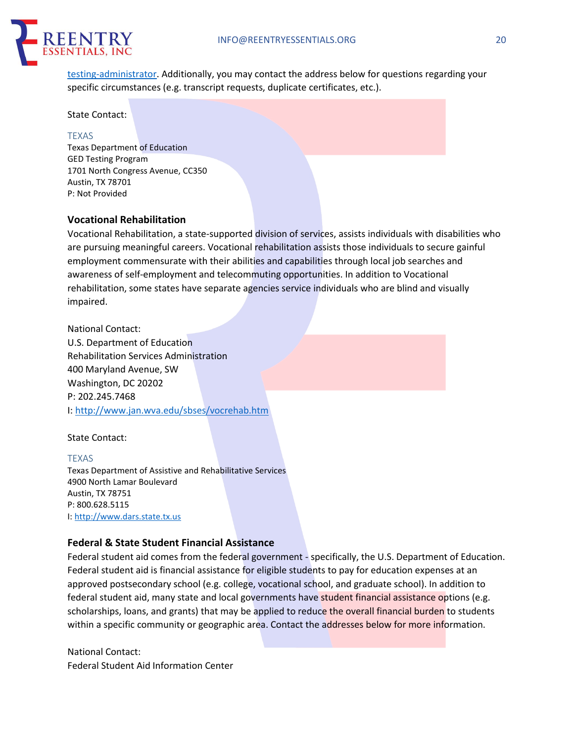

testing-administrator. Additionally, you may contact the address below for questions regarding your specific circumstances (e.g. transcript requests, duplicate certificates, etc.).

State Contact:

#### TEXAS

Texas Department of Education GED Testing Program 1701 North Congress Avenue, CC350 Austin, TX 78701 P: Not Provided

### **Vocational Rehabilitation**

Vocational Rehabilitation, a state-supported division of services, assists individuals with disabilities who are pursuing meaningful careers. Vocational rehabilitation assists those individuals to secure gainful employment commensurate with their abilities and capabilities through local job searches and awareness of self-employment and telecommuting opportunities. In addition to Vocational rehabilitation, some states have separate agencies service individuals who are blind and visually impaired.

National Contact: U.S. Department of Education Rehabilitation Services Administration 400 Maryland Avenue, SW Washington, DC 20202 P: 202.245.7468 I: http://www.jan.wva.edu/sbses/vocrehab.htm

#### State Contact:

#### TEXAS

Texas Department of Assistive and Rehabilitative Services 4900 North Lamar Boulevard Austin, TX 78751 P: 800.628.5115 I: http://www.dars.state.tx.us

### **Federal & State Student Financial Assistance**

Federal student aid comes from the federal government - specifically, the U.S. Department of Education. Federal student aid is financial assistance for eligible students to pay for education expenses at an approved postsecondary school (e.g. college, vocational school, and graduate school). In addition to federal student aid, many state and local governments have student financial assistance options (e.g. scholarships, loans, and grants) that may be applied to reduce the overall financial burden to students within a specific community or geographic area. Contact the addresses below for more information.

National Contact: Federal Student Aid Information Center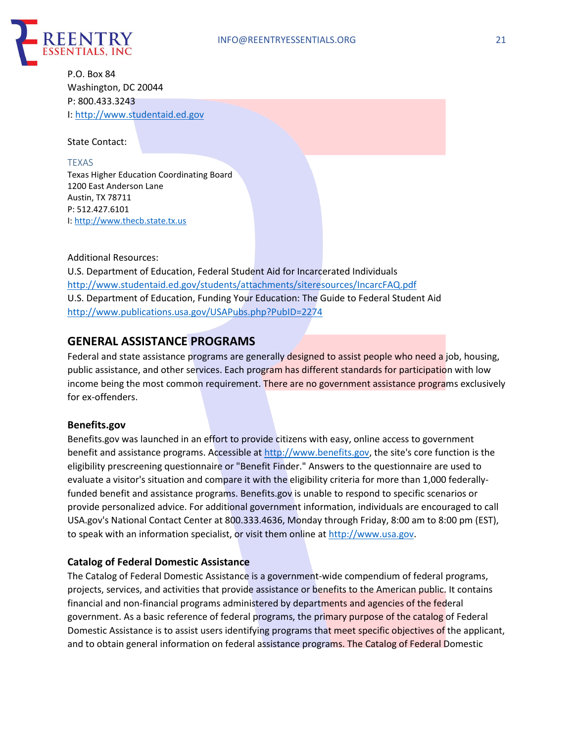

P.O. Box 84 Washington, DC 20044 P: 800.433.3243 I: http://www.studentaid.ed.gov

State Contact:

TEXAS Texas Higher Education Coordinating Board 1200 East Anderson Lane Austin, TX 78711 P: 512.427.6101 I: http://www.thecb.state.tx.us

#### Additional Resources:

U.S. Department of Education, Federal Student Aid for Incarcerated Individuals http://www.studentaid.ed.gov/students/attachments/siteresources/IncarcFAQ.pdf U.S. Department of Education, Funding Your Education: The Guide to Federal Student Aid http://www.publications.usa.gov/USAPubs.php?PubID=2274

# **GENERAL ASSISTANCE PROGRAMS**

Federal and state assistance programs are generally designed to assist people who need a job, housing, public assistance, and other services. Each program has different standards for participation with low income being the most common requirement. There are no government assistance programs exclusively for ex-offenders.

### **Benefits.gov**

Benefits.gov was launched in an effort to provide citizens with easy, online access to government benefit and assistance programs. Accessible at http://www.benefits.gov, the site's core function is the eligibility prescreening questionnaire or "Benefit Finder." Answers to the questionnaire are used to evaluate a visitor's situation and compare it with the eligibility criteria for more than 1,000 federallyfunded benefit and assistance programs. Benefits.gov is unable to respond to specific scenarios or provide personalized advice. For additional government information, individuals are encouraged to call USA.gov's National Contact Center at 800.333.4636, Monday through Friday, 8:00 am to 8:00 pm (EST), to speak with an information specialist, or visit them online at http://www.usa.gov.

### **Catalog of Federal Domestic Assistance**

The Catalog of Federal Domestic Assistance is a government-wide compendium of federal programs, projects, services, and activities that provide assistance or benefits to the American public. It contains financial and non-financial programs administered by departments and agencies of the federal government. As a basic reference of federal programs, the primary purpose of the catalog of Federal Domestic Assistance is to assist users identifying programs that meet specific objectives of the applicant, and to obtain general information on federal assistance programs. The Catalog of Federal Domestic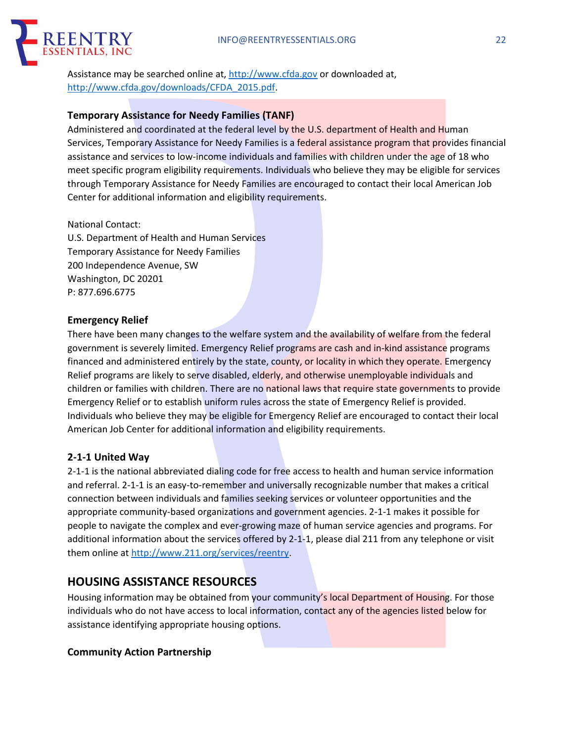

Assistance may be searched online at, http://www.cfda.gov or downloaded at, http://www.cfda.gov/downloads/CFDA\_2015.pdf.

### **Temporary Assistance for Needy Families (TANF)**

Administered and coordinated at the federal level by the U.S. department of Health and Human Services, Temporary Assistance for Needy Families is a federal assistance program that provides financial assistance and services to low-income individuals and families with children under the age of 18 who meet specific program eligibility requirements. Individuals who believe they may be eligible for services through Temporary Assistance for Needy Families are encouraged to contact their local American Job Center for additional information and eligibility requirements.

National Contact:

U.S. Department of Health and Human Services Temporary Assistance for Needy Families 200 Independence Avenue, SW Washington, DC 20201 P: 877.696.6775

#### **Emergency Relief**

There have been many changes to the welfare system and the availability of welfare from the federal government is severely limited. Emergency Relief programs are cash and in-kind assistance programs financed and administered entirely by the state, county, or locality in which they operate. Emergency Relief programs are likely to serve disabled, elderly, and otherwise unemployable individuals and children or families with children. There are no national laws that require state governments to provide Emergency Relief or to establish uniform rules across the state of Emergency Relief is provided. Individuals who believe they may be eligible for Emergency Relief are encouraged to contact their local American Job Center for additional information and eligibility requirements.

### **2-1-1 United Way**

2-1-1 is the national abbreviated dialing code for free access to health and human service information and referral. 2-1-1 is an easy-to-remember and universally recognizable number that makes a critical connection between individuals and families seeking services or volunteer opportunities and the appropriate community-based organizations and government agencies. 2-1-1 makes it possible for people to navigate the complex and ever-growing maze of human service agencies and programs. For additional information about the services offered by 2-1-1, please dial 211 from any telephone or visit them online at http://www.211.org/services/reentry.

## **HOUSING ASSISTANCE RESOURCES**

Housing information may be obtained from your community's local Department of Housing. For those individuals who do not have access to local information, contact any of the agencies listed below for assistance identifying appropriate housing options.

#### **Community Action Partnership**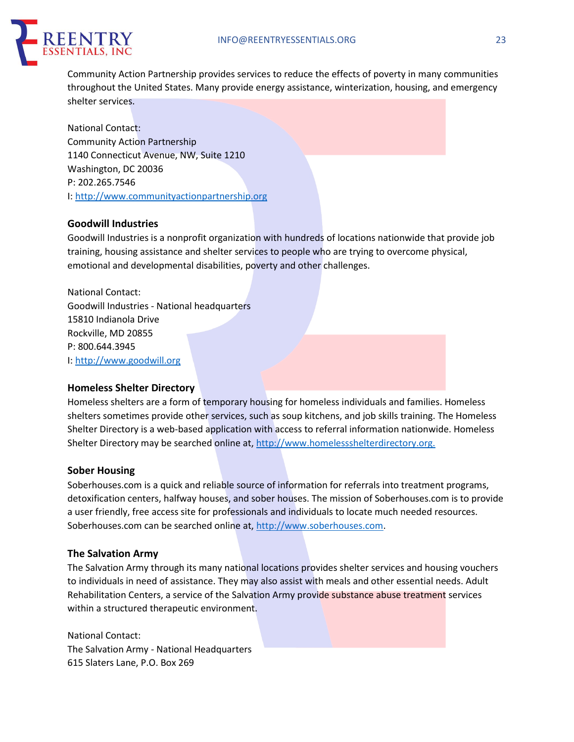

Community Action Partnership provides services to reduce the effects of poverty in many communities throughout the United States. Many provide energy assistance, winterization, housing, and emergency shelter services.

National Contact: Community Action Partnership 1140 Connecticut Avenue, NW, Suite 1210 Washington, DC 20036 P: 202.265.7546 I: http://www.communityactionpartnership.org

### **Goodwill Industries**

Goodwill Industries is a nonprofit organization with hundreds of locations nationwide that provide job training, housing assistance and shelter services to people who are trying to overcome physical, emotional and developmental disabilities, poverty and other challenges.

National Contact: Goodwill Industries - National headquarters 15810 Indianola Drive Rockville, MD 20855 P: 800.644.3945 I: http://www.goodwill.org

#### **Homeless Shelter Directory**

Homeless shelters are a form of temporary housing for homeless individuals and families. Homeless shelters sometimes provide other services, such as soup kitchens, and job skills training. The Homeless Shelter Directory is a web-based application with access to referral information nationwide. Homeless Shelter Directory may be searched online at, http://www.homelessshelterdirectory.org.

#### **Sober Housing**

Soberhouses.com is a quick and reliable source of information for referrals into treatment programs, detoxification centers, halfway houses, and sober houses. The mission of Soberhouses.com is to provide a user friendly, free access site for professionals and individuals to locate much needed resources. Soberhouses.com can be searched online at, http://www.soberhouses.com.

#### **The Salvation Army**

The Salvation Army through its many national locations provides shelter services and housing vouchers to individuals in need of assistance. They may also assist with meals and other essential needs. Adult Rehabilitation Centers, a service of the Salvation Army provide substance abuse treatment services within a structured therapeutic environment.

National Contact: The Salvation Army - National Headquarters 615 Slaters Lane, P.O. Box 269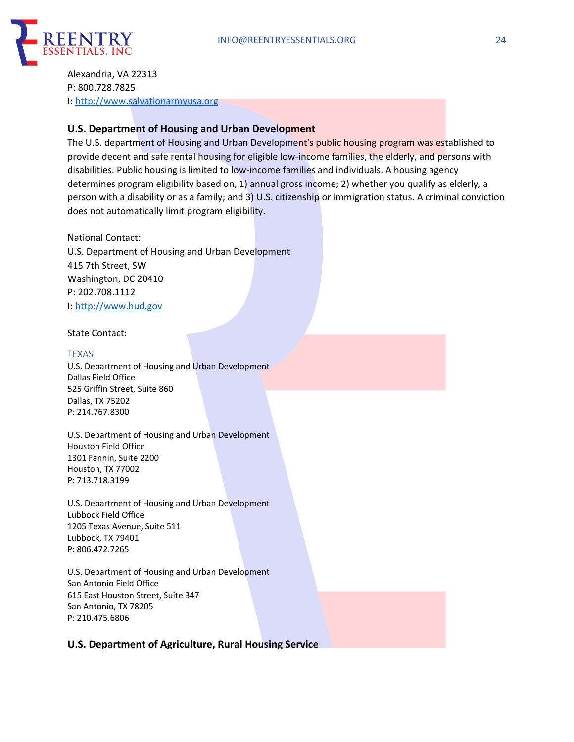

Alexandria, VA 22313 P: 800.728.7825 I: http://www.salvationarmyusa.org

### **U.S. Department of Housing and Urban Development**

The U.S. department of Housing and Urban Development's public housing program was established to provide decent and safe rental housing for eligible low-income families, the elderly, and persons with disabilities. Public housing is limited to low-income families and individuals. A housing agency determines program eligibility based on, 1) annual gross income; 2) whether you qualify as elderly, a person with a disability or as a family; and 3) U.S. citizenship or immigration status. A criminal conviction does not automatically limit program eligibility.

National Contact: U.S. Department of Housing and Urban Development 415 7th Street, SW Washington, DC 20410 P: 202.708.1112 I: http://www.hud.gov

State Contact:

#### TEXAS

U.S. Department of Housing and Urban Development Dallas Field Office 525 Griffin Street, Suite 860 Dallas, TX 75202 P: 214.767.8300

U.S. Department of Housing and Urban Development Houston Field Office 1301 Fannin, Suite 2200 Houston, TX 77002 P: 713.718.3199

U.S. Department of Housing and Urban Development Lubbock Field Office 1205 Texas Avenue, Suite 511 Lubbock, TX 79401 P: 806.472.7265

U.S. Department of Housing and Urban Development San Antonio Field Office 615 East Houston Street, Suite 347 San Antonio, TX 78205 P: 210.475.6806

### **U.S. Department of Agriculture, Rural Housing Service**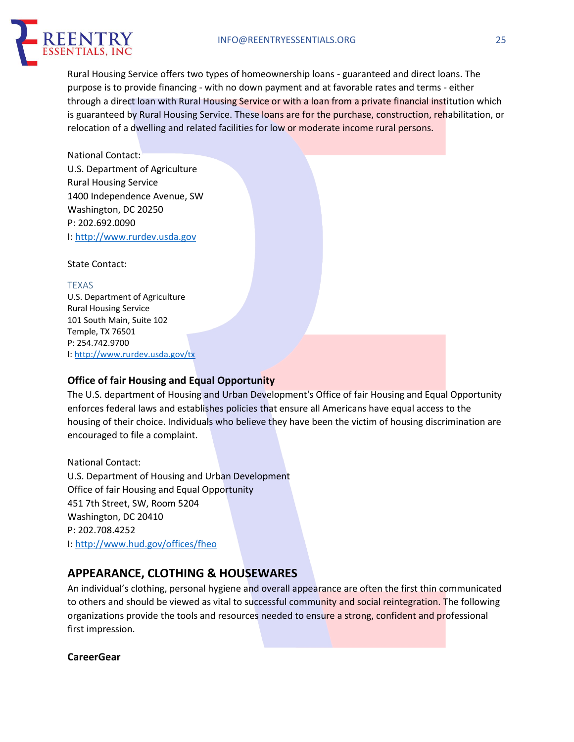#### INFO@REENTRYESSENTIALS.ORG 25



Rural Housing Service offers two types of homeownership loans - guaranteed and direct loans. The purpose is to provide financing - with no down payment and at favorable rates and terms - either through a direct loan with Rural Housing Service or with a loan from a private financial institution which is guaranteed by Rural Housing Service. These loans are for the purchase, construction, rehabilitation, or relocation of a dwelling and related facilities for low or moderate income rural persons.

National Contact: U.S. Department of Agriculture Rural Housing Service 1400 Independence Avenue, SW Washington, DC 20250 P: 202.692.0090 I: http://www.rurdev.usda.gov

State Contact:

TEXAS U.S. Department of Agriculture Rural Housing Service 101 South Main, Suite 102 Temple, TX 76501 P: 254.742.9700 I: http://www.rurdev.usda.gov/tx

### **Office of fair Housing and Equal Opportunity**

The U.S. department of Housing and Urban Development's Office of fair Housing and Equal Opportunity enforces federal laws and establishes policies that ensure all Americans have equal access to the housing of their choice. Individuals who believe they have been the victim of housing discrimination are encouraged to file a complaint.

National Contact: U.S. Department of Housing and Urban Development Office of fair Housing and Equal Opportunity 451 7th Street, SW, Room 5204 Washington, DC 20410 P: 202.708.4252 I: http://www.hud.gov/offices/fheo

# **APPEARANCE, CLOTHING & HOUSEWARES**

An individual's clothing, personal hygiene and overall appearance are often the first thin communicated to others and should be viewed as vital to successful community and social reintegration. The following organizations provide the tools and resources needed to ensure a strong, confident and professional first impression.

### **CareerGear**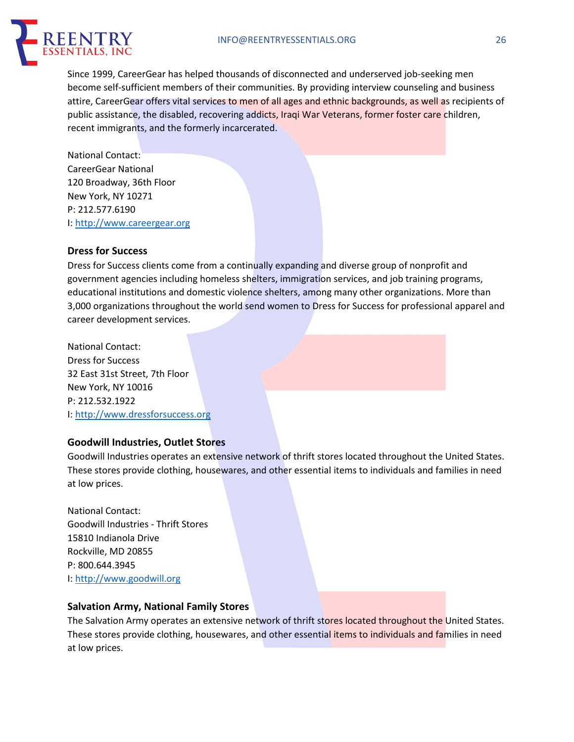

Since 1999, CareerGear has helped thousands of disconnected and underserved job-seeking men become self-sufficient members of their communities. By providing interview counseling and business attire, CareerGear offers vital services to men of all ages and ethnic backgrounds, as well as recipients of public assistance, the disabled, recovering addicts, Iraqi War Veterans, former foster care children, recent immigrants, and the formerly incarcerated.

National Contact: CareerGear National 120 Broadway, 36th Floor New York, NY 10271 P: 212.577.6190 I: http://www.careergear.org

### **Dress for Success**

Dress for Success clients come from a continually expanding and diverse group of nonprofit and government agencies including homeless shelters, immigration services, and job training programs, educational institutions and domestic violence shelters, among many other organizations. More than 3,000 organizations throughout the world send women to Dress for Success for professional apparel and career development services.

National Contact: Dress for Success 32 East 31st Street, 7th Floor New York, NY 10016 P: 212.532.1922 I: http://www.dressforsuccess.org

### **Goodwill Industries, Outlet Stores**

Goodwill Industries operates an extensive network of thrift stores located throughout the United States. These stores provide clothing, housewares, and other essential items to individuals and families in need at low prices.

National Contact: Goodwill Industries - Thrift Stores 15810 Indianola Drive Rockville, MD 20855 P: 800.644.3945 I: http://www.goodwill.org

#### **Salvation Army, National Family Stores**

The Salvation Army operates an extensive network of thrift stores located throughout the United States. These stores provide clothing, housewares, and other essential items to individuals and families in need at low prices.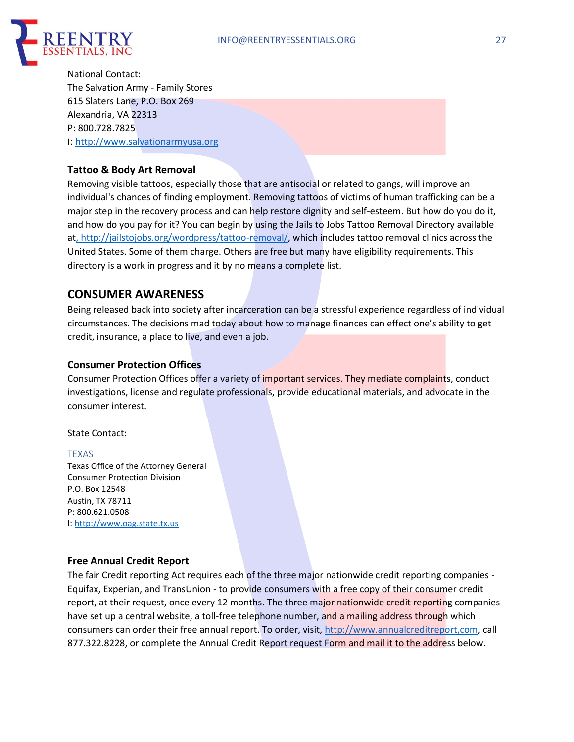

National Contact: The Salvation Army - Family Stores 615 Slaters Lane, P.O. Box 269 Alexandria, VA 22313 P: 800.728.7825 I: http://www.salvationarmyusa.org

### **Tattoo & Body Art Removal**

Removing visible tattoos, especially those that are antisocial or related to gangs, will improve an individual's chances of finding employment. Removing tattoos of victims of human trafficking can be a major step in the recovery process and can help restore dignity and self-esteem. But how do you do it, and how do you pay for it? You can begin by using the Jails to Jobs Tattoo Removal Directory available at, http://jailstojobs.org/wordpress/tattoo-removal/, which includes tattoo removal clinics across the United States. Some of them charge. Others are free but many have eligibility requirements. This directory is a work in progress and it by no means a complete list.

### **CONSUMER AWARENESS**

Being released back into society after incarceration can be a stressful experience regardless of individual circumstances. The decisions mad today about how to manage finances can effect one's ability to get credit, insurance, a place to live, and even a job.

### **Consumer Protection Offices**

Consumer Protection Offices offer a variety of important services. They mediate complaints, conduct investigations, license and regulate professionals, provide educational materials, and advocate in the consumer interest.

State Contact:

#### TEXAS

Texas Office of the Attorney General Consumer Protection Division P.O. Box 12548 Austin, TX 78711 P: 800.621.0508 I: http://www.oag.state.tx.us

#### **Free Annual Credit Report**

The fair Credit reporting Act requires each of the three major nationwide credit reporting companies - Equifax, Experian, and TransUnion - to provide consumers with a free copy of their consumer credit report, at their request, once every 12 months. The three major nationwide credit reporting companies have set up a central website, a toll-free telephone number, and a mailing address through which consumers can order their free annual report. To order, visit, http://www.annualcreditreport,com, call 877.322.8228, or complete the Annual Credit Report request Form and mail it to the address below.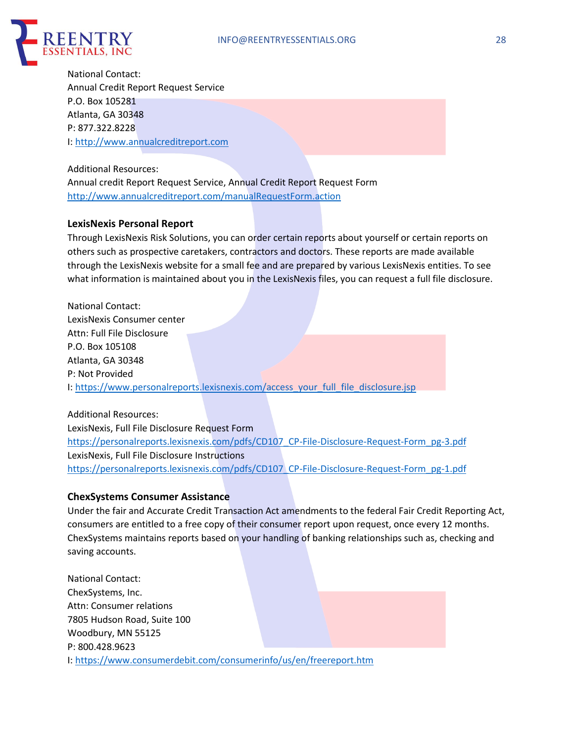

National Contact: Annual Credit Report Request Service P.O. Box 105281 Atlanta, GA 30348 P: 877.322.8228 I: http://www.annualcreditreport.com

Additional Resources:

Annual credit Report Request Service, Annual Credit Report Request Form http://www.annualcreditreport.com/manualRequestForm.action

### **LexisNexis Personal Report**

Through LexisNexis Risk Solutions, you can order certain reports about yourself or certain reports on others such as prospective caretakers, contractors and doctors. These reports are made available through the LexisNexis website for a small fee and are prepared by various LexisNexis entities. To see what information is maintained about you in the LexisNexis files, you can request a full file disclosure.

National Contact: LexisNexis Consumer center Attn: Full File Disclosure P.O. Box 105108 Atlanta, GA 30348 P: Not Provided I: https://www.personalreports.lexisnexis.com/access\_your\_full\_file\_disclosure.jsp

Additional Resources: LexisNexis, Full File Disclosure Request Form https://personalreports.lexisnexis.com/pdfs/CD107\_CP-File-Disclosure-Request-Form\_pg-3.pdf LexisNexis, Full File Disclosure Instructions https://personalreports.lexisnexis.com/pdfs/CD107\_CP-File-Disclosure-Request-Form\_pg-1.pdf

#### **ChexSystems Consumer Assistance**

Under the fair and Accurate Credit Transaction Act amendments to the federal Fair Credit Reporting Act, consumers are entitled to a free copy of their consumer report upon request, once every 12 months. ChexSystems maintains reports based on your handling of banking relationships such as, checking and saving accounts.

National Contact: ChexSystems, Inc. Attn: Consumer relations 7805 Hudson Road, Suite 100 Woodbury, MN 55125 P: 800.428.9623 I: https://www.consumerdebit.com/consumerinfo/us/en/freereport.htm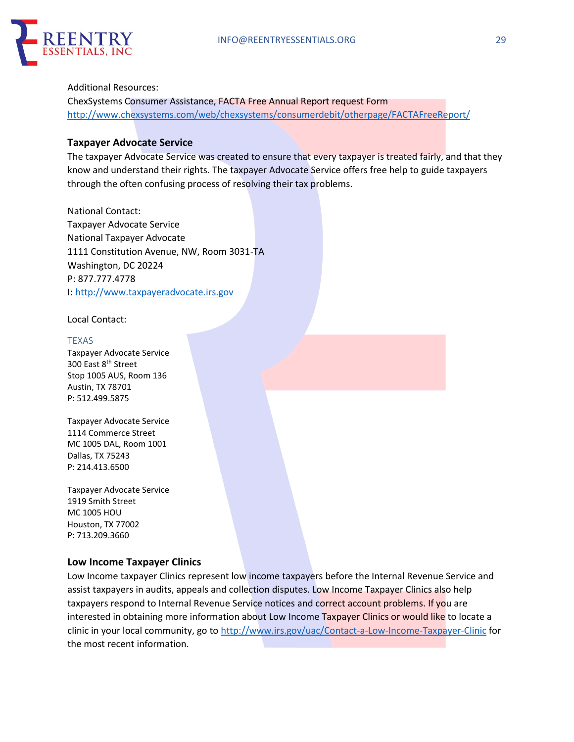

#### Additional Resources:

ChexSystems Consumer Assistance, FACTA Free Annual Report request Form http://www.chexsystems.com/web/chexsystems/consumerdebit/otherpage/FACTAFreeReport/

### **Taxpayer Advocate Service**

The taxpayer Advocate Service was created to ensure that every taxpayer is treated fairly, and that they know and understand their rights. The taxpayer Advocate Service offers free help to guide taxpayers through the often confusing process of resolving their tax problems.

National Contact: Taxpayer Advocate Service National Taxpayer Advocate 1111 Constitution Avenue, NW, Room 3031-TA Washington, DC 20224 P: 877.777.4778 I: http://www.taxpayeradvocate.irs.gov

Local Contact:

TEXAS Taxpayer Advocate Service 300 East 8<sup>th</sup> Street Stop 1005 AUS, Room 136 Austin, TX 78701 P: 512.499.5875

Taxpayer Advocate Service 1114 Commerce Street MC 1005 DAL, Room 1001 Dallas, TX 75243 P: 214.413.6500

Taxpayer Advocate Service 1919 Smith Street MC 1005 HOU Houston, TX 77002 P: 713.209.3660

### **Low Income Taxpayer Clinics**

Low Income taxpayer Clinics represent low income taxpayers before the Internal Revenue Service and assist taxpayers in audits, appeals and collection disputes. Low Income Taxpayer Clinics also help taxpayers respond to Internal Revenue Service notices and correct account problems. If you are interested in obtaining more information about Low Income Taxpayer Clinics or would like to locate a clinic in your local community, go to http://www.irs.gov/uac/Contact-a-Low-Income-Taxpayer-Clinic for the most recent information.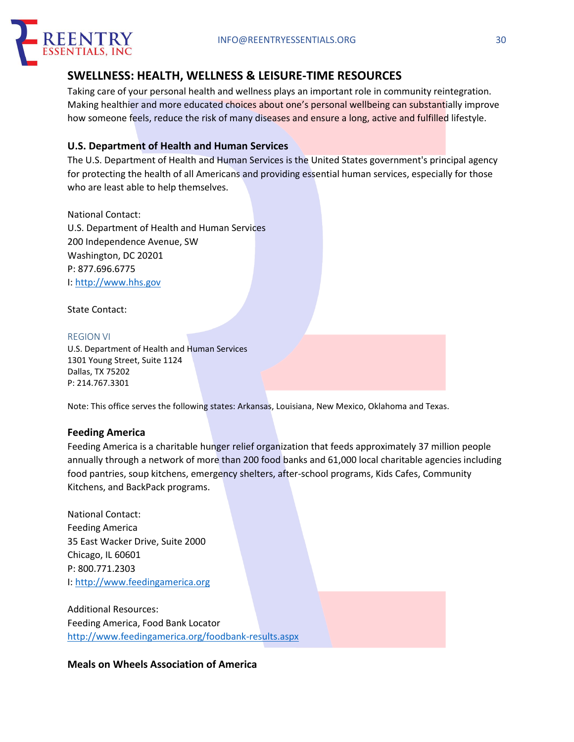

# **SWELLNESS: HEALTH, WELLNESS & LEISURE-TIME RESOURCES**

Taking care of your personal health and wellness plays an important role in community reintegration. Making healthier and more educated choices about one's personal wellbeing can substantially improve how someone feels, reduce the risk of many diseases and ensure a long, active and fulfilled lifestyle.

### **U.S. Department of Health and Human Services**

The U.S. Department of Health and Human Services is the United States government's principal agency for protecting the health of all Americans and providing essential human services, especially for those who are least able to help themselves.

National Contact: U.S. Department of Health and Human Services 200 Independence Avenue, SW Washington, DC 20201 P: 877.696.6775 I: http://www.hhs.gov

State Contact:

#### REGION VI

U.S. Department of Health and Human Services 1301 Young Street, Suite 1124 Dallas, TX 75202 P: 214.767.3301

Note: This office serves the following states: Arkansas, Louisiana, New Mexico, Oklahoma and Texas.

### **Feeding America**

Feeding America is a charitable hunger relief organization that feeds approximately 37 million people annually through a network of more than 200 food banks and 61,000 local charitable agencies including food pantries, soup kitchens, emergency shelters, after-school programs, Kids Cafes, Community Kitchens, and BackPack programs.

National Contact: Feeding America 35 East Wacker Drive, Suite 2000 Chicago, IL 60601 P: 800.771.2303 I: http://www.feedingamerica.org

Additional Resources: Feeding America, Food Bank Locator http://www.feedingamerica.org/foodbank-results.aspx

### **Meals on Wheels Association of America**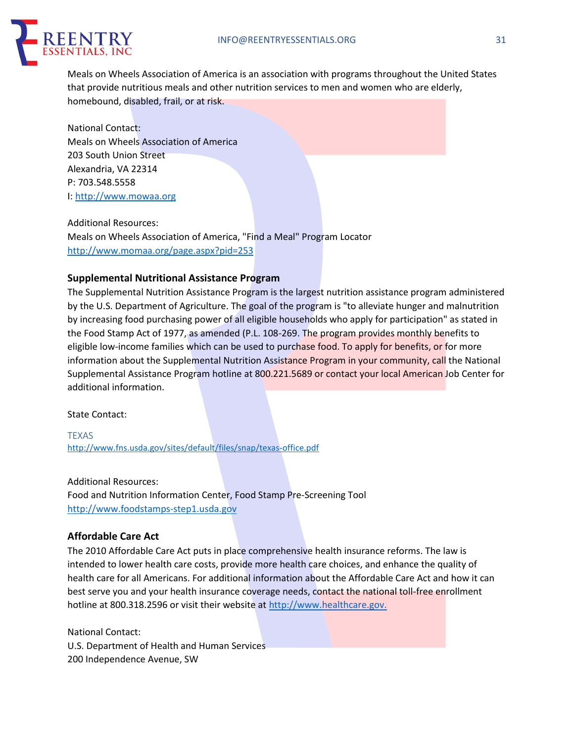

Meals on Wheels Association of America is an association with programs throughout the United States that provide nutritious meals and other nutrition services to men and women who are elderly, homebound, disabled, frail, or at risk.

National Contact: Meals on Wheels Association of America 203 South Union Street Alexandria, VA 22314 P: 703.548.5558 I: http://www.mowaa.org

Additional Resources: Meals on Wheels Association of America, "Find a Meal" Program Locator http://www.momaa.org/page.aspx?pid=253

### **Supplemental Nutritional Assistance Program**

The Supplemental Nutrition Assistance Program is the largest nutrition assistance program administered by the U.S. Department of Agriculture. The goal of the program is "to alleviate hunger and malnutrition by increasing food purchasing power of all eligible households who apply for participation" as stated in the Food Stamp Act of 1977, as amended (P.L. 108-269. The program provides monthly benefits to eligible low-income families which can be used to purchase food. To apply for benefits, or for more information about the Supplemental Nutrition Assistance Program in your community, call the National Supplemental Assistance Program hotline at 800.221.5689 or contact your local American Job Center for additional information.

State Contact:

TEXAS http://www.fns.usda.gov/sites/default/files/snap/texas-office.pdf

Additional Resources: Food and Nutrition Information Center, Food Stamp Pre-Screening Tool http://www.foodstamps-step1.usda.gov

### **Affordable Care Act**

The 2010 Affordable Care Act puts in place comprehensive health insurance reforms. The law is intended to lower health care costs, provide more health care choices, and enhance the quality of health care for all Americans. For additional information about the Affordable Care Act and how it can best serve you and your health insurance coverage needs, contact the national toll-free enrollment hotline at 800.318.2596 or visit their website at http://www.healthcare.gov.

National Contact: U.S. Department of Health and Human Services 200 Independence Avenue, SW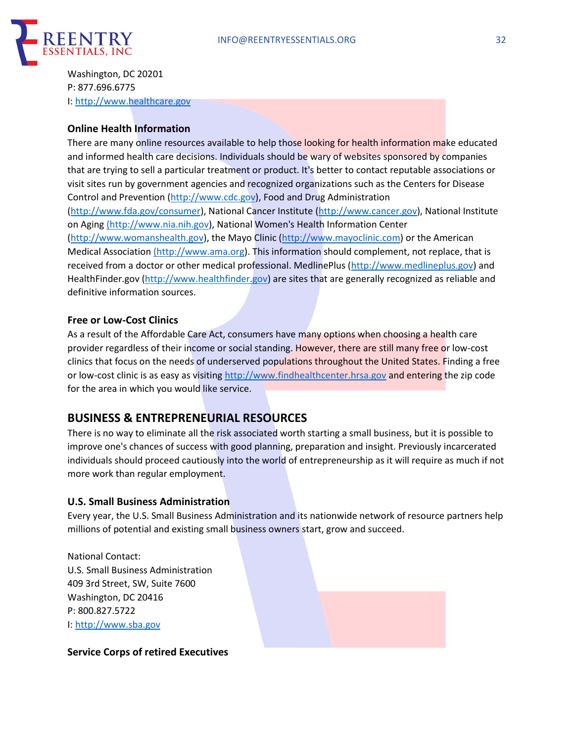

Washington, DC 20201 P: 877.696.6775 I: http://www.healthcare.gov

### **Online Health Information**

There are many online resources available to help those looking for health information make educated and informed health care decisions. Individuals should be wary of websites sponsored by companies that are trying to sell a particular treatment or product. It's better to contact reputable associations or visit sites run by government agencies and recognized organizations such as the Centers for Disease Control and Prevention (http://www.cdc.gov), Food and Drug Administration

(http://www.fda.gov/consumer), National Cancer Institute (http://www.cancer.gov), National Institute on Aging (http://www.nia.nih.gov), National Women's Health Information Center

(http://www.womanshealth.gov), the Mayo Clinic (http://www.mayoclinic.com) or the American Medical Association (http://www.ama.org). This information should complement, not replace, that is received from a doctor or other medical professional. MedlinePlus (http://www.medlineplus.gov) and HealthFinder.gov (http://www.healthfinder.gov) are sites that are generally recognized as reliable and definitive information sources.

### **Free or Low-Cost Clinics**

As a result of the Affordable Care Act, consumers have many options when choosing a health care provider regardless of their income or social standing. However, there are still many free or low-cost clinics that focus on the needs of underserved populations throughout the United States. Finding a free or low-cost clinic is as easy as visiting http://www.findhealthcenter.hrsa.gov and entering the zip code for the area in which you would like service.

## **BUSINESS & ENTREPRENEURIAL RESOURCES**

There is no way to eliminate all the risk associated worth starting a small business, but it is possible to improve one's chances of success with good planning, preparation and insight. Previously incarcerated individuals should proceed cautiously into the world of entrepreneurship as it will require as much if not more work than regular employment.

### **U.S. Small Business Administration**

Every year, the U.S. Small Business Administration and its nationwide network of resource partners help millions of potential and existing small business owners start, grow and succeed.

National Contact: U.S. Small Business Administration 409 3rd Street, SW, Suite 7600 Washington, DC 20416 P: 800.827.5722 I: http://www.sba.gov

### **Service Corps of retired Executives**